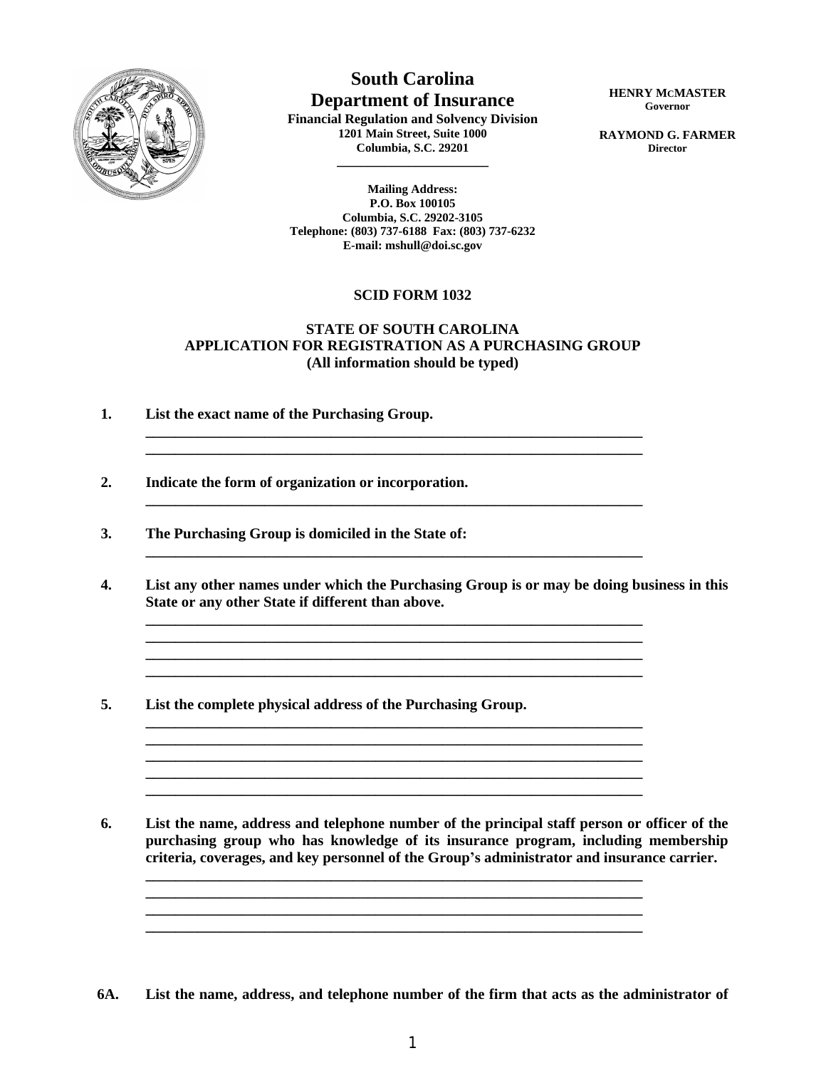

**South Carolina Department of Insurance**

**Financial Regulation and Solvency Division 1201 Main Street, Suite 1000 Columbia, S.C. 29201**

**\_\_\_\_\_\_\_\_\_\_\_\_\_\_\_\_\_\_\_\_\_\_\_\_\_**

**HENRY MCMASTER Governor**

**RAYMOND G. FARMER Director**

**Mailing Address: P.O. Box 100105 Columbia, S.C. 29202-3105 Telephone: (803) 737-6188 Fax: (803) 737-6232 E-mail: mshull@doi.sc.gov**

## **SCID FORM 1032**

## **STATE OF SOUTH CAROLINA APPLICATION FOR REGISTRATION AS A PURCHASING GROUP (All information should be typed)**

**\_\_\_\_\_\_\_\_\_\_\_\_\_\_\_\_\_\_\_\_\_\_\_\_\_\_\_\_\_\_\_\_\_\_\_\_\_\_\_\_\_\_\_\_\_\_\_\_\_\_\_\_\_\_\_\_\_\_\_\_\_\_\_\_\_\_\_**

**\_\_\_\_\_\_\_\_\_\_\_\_\_\_\_\_\_\_\_\_\_\_\_\_\_\_\_\_\_\_\_\_\_\_\_\_\_\_\_\_\_\_\_\_\_\_\_\_\_\_\_\_\_\_\_\_\_\_\_\_\_\_\_\_\_\_\_**

**\_\_\_\_\_\_\_\_\_\_\_\_\_\_\_\_\_\_\_\_\_\_\_\_\_\_\_\_\_\_\_\_\_\_\_\_\_\_\_\_\_\_\_\_\_\_\_\_\_\_\_\_\_\_\_\_\_\_\_\_\_\_\_\_\_\_\_**

**\_\_\_\_\_\_\_\_\_\_\_\_\_\_\_\_\_\_\_\_\_\_\_\_\_\_\_\_\_\_\_\_\_\_\_\_\_\_\_\_\_\_\_\_\_\_\_\_\_\_\_\_\_\_\_\_\_\_\_\_\_\_\_\_\_\_\_**

**\_\_\_\_\_\_\_\_\_\_\_\_\_\_\_\_\_\_\_\_\_\_\_\_\_\_\_\_\_\_\_\_\_\_\_\_\_\_\_\_\_\_\_\_\_\_\_\_\_\_\_\_\_\_\_\_\_\_\_\_\_\_\_\_\_\_\_**

**\_\_\_\_\_\_\_\_\_\_\_\_\_\_\_\_\_\_\_\_\_\_\_\_\_\_\_\_\_\_\_\_\_\_\_\_\_\_\_\_\_\_\_\_\_\_\_\_\_\_\_\_\_\_\_\_\_\_\_\_\_\_\_\_\_\_\_ \_\_\_\_\_\_\_\_\_\_\_\_\_\_\_\_\_\_\_\_\_\_\_\_\_\_\_\_\_\_\_\_\_\_\_\_\_\_\_\_\_\_\_\_\_\_\_\_\_\_\_\_\_\_\_\_\_\_\_\_\_\_\_\_\_\_\_ \_\_\_\_\_\_\_\_\_\_\_\_\_\_\_\_\_\_\_\_\_\_\_\_\_\_\_\_\_\_\_\_\_\_\_\_\_\_\_\_\_\_\_\_\_\_\_\_\_\_\_\_\_\_\_\_\_\_\_\_\_\_\_\_\_\_\_**

**\_\_\_\_\_\_\_\_\_\_\_\_\_\_\_\_\_\_\_\_\_\_\_\_\_\_\_\_\_\_\_\_\_\_\_\_\_\_\_\_\_\_\_\_\_\_\_\_\_\_\_\_\_\_\_\_\_\_\_\_\_\_\_\_\_\_\_**

**\_\_\_\_\_\_\_\_\_\_\_\_\_\_\_\_\_\_\_\_\_\_\_\_\_\_\_\_\_\_\_\_\_\_\_\_\_\_\_\_\_\_\_\_\_\_\_\_\_\_\_\_\_\_\_\_\_\_\_\_\_\_\_\_\_\_\_ \_\_\_\_\_\_\_\_\_\_\_\_\_\_\_\_\_\_\_\_\_\_\_\_\_\_\_\_\_\_\_\_\_\_\_\_\_\_\_\_\_\_\_\_\_\_\_\_\_\_\_\_\_\_\_\_\_\_\_\_\_\_\_\_\_\_\_ \_\_\_\_\_\_\_\_\_\_\_\_\_\_\_\_\_\_\_\_\_\_\_\_\_\_\_\_\_\_\_\_\_\_\_\_\_\_\_\_\_\_\_\_\_\_\_\_\_\_\_\_\_\_\_\_\_\_\_\_\_\_\_\_\_\_\_ \_\_\_\_\_\_\_\_\_\_\_\_\_\_\_\_\_\_\_\_\_\_\_\_\_\_\_\_\_\_\_\_\_\_\_\_\_\_\_\_\_\_\_\_\_\_\_\_\_\_\_\_\_\_\_\_\_\_\_\_\_\_\_\_\_\_\_**

- **1. List the exact name of the Purchasing Group.**
- **2. Indicate the form of organization or incorporation.**
- **3. The Purchasing Group is domiciled in the State of:**
- **4. List any other names under which the Purchasing Group is or may be doing business in this State or any other State if different than above.**
- **5. List the complete physical address of the Purchasing Group.**

 **6. List the name, address and telephone number of the principal staff person or officer of the purchasing group who has knowledge of its insurance program, including membership criteria, coverages, and key personnel of the Group's administrator and insurance carrier.**

**6A. List the name, address, and telephone number of the firm that acts as the administrator of**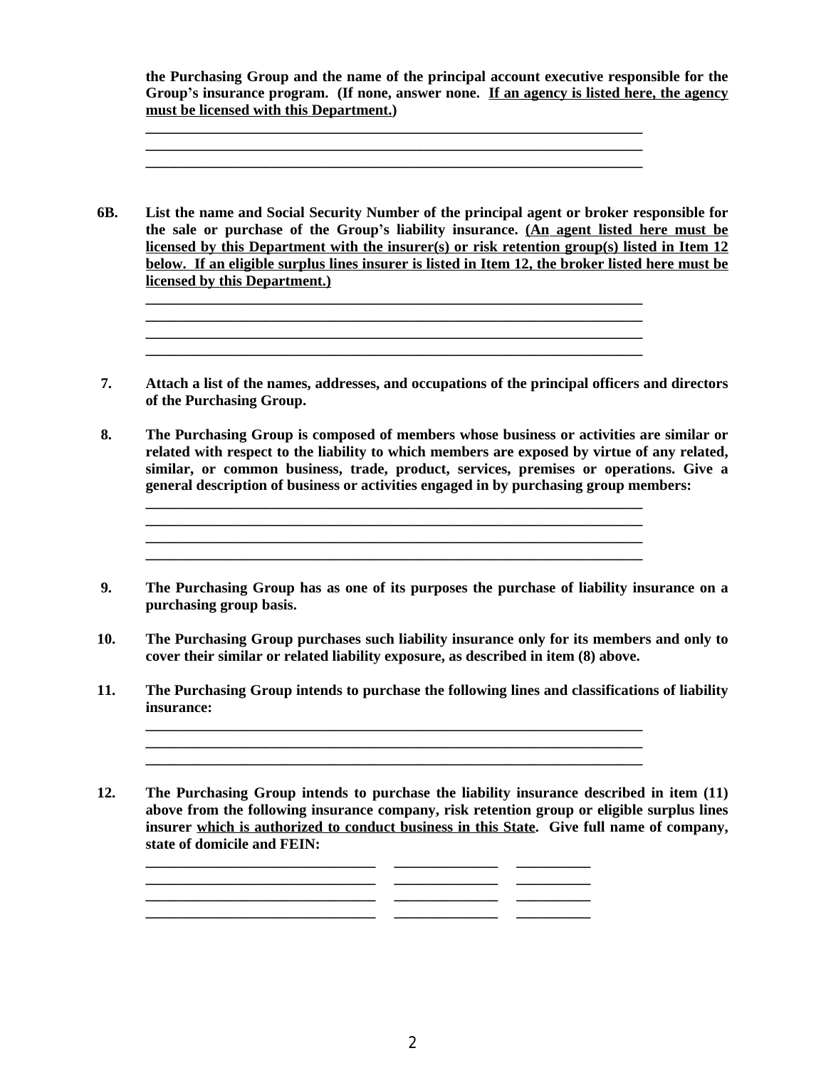**the Purchasing Group and the name of the principal account executive responsible for the Group's insurance program. (If none, answer none. If an agency is listed here, the agency must be licensed with this Department.)**

**6B. List the name and Social Security Number of the principal agent or broker responsible for the sale or purchase of the Group's liability insurance. (An agent listed here must be licensed by this Department with the insurer(s) or risk retention group(s) listed in Item 12 below. If an eligible surplus lines insurer is listed in Item 12, the broker listed here must be licensed by this Department.)**

**\_\_\_\_\_\_\_\_\_\_\_\_\_\_\_\_\_\_\_\_\_\_\_\_\_\_\_\_\_\_\_\_\_\_\_\_\_\_\_\_\_\_\_\_\_\_\_\_\_\_\_\_\_\_\_\_\_\_\_\_\_\_\_\_\_\_\_ \_\_\_\_\_\_\_\_\_\_\_\_\_\_\_\_\_\_\_\_\_\_\_\_\_\_\_\_\_\_\_\_\_\_\_\_\_\_\_\_\_\_\_\_\_\_\_\_\_\_\_\_\_\_\_\_\_\_\_\_\_\_\_\_\_\_\_ \_\_\_\_\_\_\_\_\_\_\_\_\_\_\_\_\_\_\_\_\_\_\_\_\_\_\_\_\_\_\_\_\_\_\_\_\_\_\_\_\_\_\_\_\_\_\_\_\_\_\_\_\_\_\_\_\_\_\_\_\_\_\_\_\_\_\_ \_\_\_\_\_\_\_\_\_\_\_\_\_\_\_\_\_\_\_\_\_\_\_\_\_\_\_\_\_\_\_\_\_\_\_\_\_\_\_\_\_\_\_\_\_\_\_\_\_\_\_\_\_\_\_\_\_\_\_\_\_\_\_\_\_\_\_**

**\_\_\_\_\_\_\_\_\_\_\_\_\_\_\_\_\_\_\_\_\_\_\_\_\_\_\_\_\_\_\_\_\_\_\_\_\_\_\_\_\_\_\_\_\_\_\_\_\_\_\_\_\_\_\_\_\_\_\_\_\_\_\_\_\_\_\_**

**\_\_\_\_\_\_\_\_\_\_\_\_\_\_\_\_\_\_\_\_\_\_\_\_\_\_\_\_\_\_\_\_\_\_\_\_\_\_\_\_\_\_\_\_\_\_\_\_\_\_\_\_\_\_\_\_\_\_\_\_\_\_\_\_\_\_\_**

- **7. Attach a list of the names, addresses, and occupations of the principal officers and directors of the Purchasing Group.**
- **8. The Purchasing Group is composed of members whose business or activities are similar or related with respect to the liability to which members are exposed by virtue of any related, similar, or common business, trade, product, services, premises or operations. Give a general description of business or activities engaged in by purchasing group members:**

**\_\_\_\_\_\_\_\_\_\_\_\_\_\_\_\_\_\_\_\_\_\_\_\_\_\_\_\_\_\_\_\_\_\_\_\_\_\_\_\_\_\_\_\_\_\_\_\_\_\_\_\_\_\_\_\_\_\_\_\_\_\_\_\_\_\_\_ \_\_\_\_\_\_\_\_\_\_\_\_\_\_\_\_\_\_\_\_\_\_\_\_\_\_\_\_\_\_\_\_\_\_\_\_\_\_\_\_\_\_\_\_\_\_\_\_\_\_\_\_\_\_\_\_\_\_\_\_\_\_\_\_\_\_\_ \_\_\_\_\_\_\_\_\_\_\_\_\_\_\_\_\_\_\_\_\_\_\_\_\_\_\_\_\_\_\_\_\_\_\_\_\_\_\_\_\_\_\_\_\_\_\_\_\_\_\_\_\_\_\_\_\_\_\_\_\_\_\_\_\_\_\_**

 **9. The Purchasing Group has as one of its purposes the purchase of liability insurance on a purchasing group basis.**

**10. The Purchasing Group purchases such liability insurance only for its members and only to cover their similar or related liability exposure, as described in item (8) above.**

**11. The Purchasing Group intends to purchase the following lines and classifications of liability insurance:**

**\_\_\_\_\_\_\_\_\_\_\_\_\_\_\_\_\_\_\_\_\_\_\_\_\_\_\_\_\_\_\_\_\_\_\_\_\_\_\_\_\_\_\_\_\_\_\_\_\_\_\_\_\_\_\_\_\_\_\_\_\_\_\_\_\_\_\_ \_\_\_\_\_\_\_\_\_\_\_\_\_\_\_\_\_\_\_\_\_\_\_\_\_\_\_\_\_\_\_\_\_\_\_\_\_\_\_\_\_\_\_\_\_\_\_\_\_\_\_\_\_\_\_\_\_\_\_\_\_\_\_\_\_\_\_**

**12. The Purchasing Group intends to purchase the liability insurance described in item (11) above from the following insurance company, risk retention group or eligible surplus lines insurer which is authorized to conduct business in this State. Give full name of company, state of domicile and FEIN:**